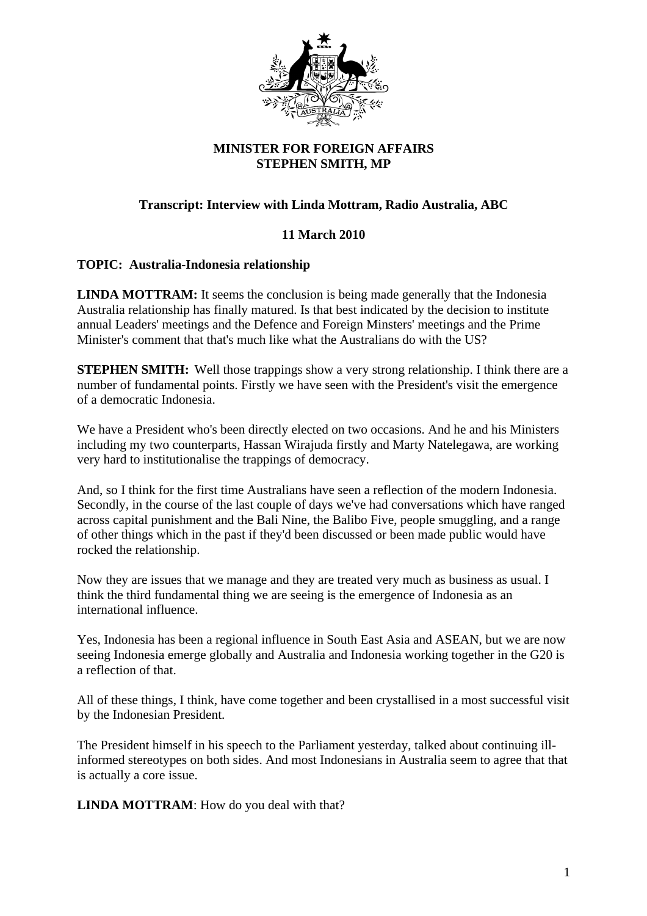

## **MINISTER FOR FOREIGN AFFAIRS STEPHEN SMITH, MP**

## **Transcript: Interview with Linda Mottram, Radio Australia, ABC**

## **11 March 2010**

## **TOPIC: Australia-Indonesia relationship**

**LINDA MOTTRAM:** It seems the conclusion is being made generally that the Indonesia Australia relationship has finally matured. Is that best indicated by the decision to institute annual Leaders' meetings and the Defence and Foreign Minsters' meetings and the Prime Minister's comment that that's much like what the Australians do with the US?

**STEPHEN SMITH:** Well those trappings show a very strong relationship. I think there are a number of fundamental points. Firstly we have seen with the President's visit the emergence of a democratic Indonesia.

We have a President who's been directly elected on two occasions. And he and his Ministers including my two counterparts, Hassan Wirajuda firstly and Marty Natelegawa, are working very hard to institutionalise the trappings of democracy.

And, so I think for the first time Australians have seen a reflection of the modern Indonesia. Secondly, in the course of the last couple of days we've had conversations which have ranged across capital punishment and the Bali Nine, the Balibo Five, people smuggling, and a range of other things which in the past if they'd been discussed or been made public would have rocked the relationship.

Now they are issues that we manage and they are treated very much as business as usual. I think the third fundamental thing we are seeing is the emergence of Indonesia as an international influence.

Yes, Indonesia has been a regional influence in South East Asia and ASEAN, but we are now seeing Indonesia emerge globally and Australia and Indonesia working together in the G20 is a reflection of that.

All of these things, I think, have come together and been crystallised in a most successful visit by the Indonesian President.

The President himself in his speech to the Parliament yesterday, talked about continuing illinformed stereotypes on both sides. And most Indonesians in Australia seem to agree that that is actually a core issue.

**LINDA MOTTRAM**: How do you deal with that?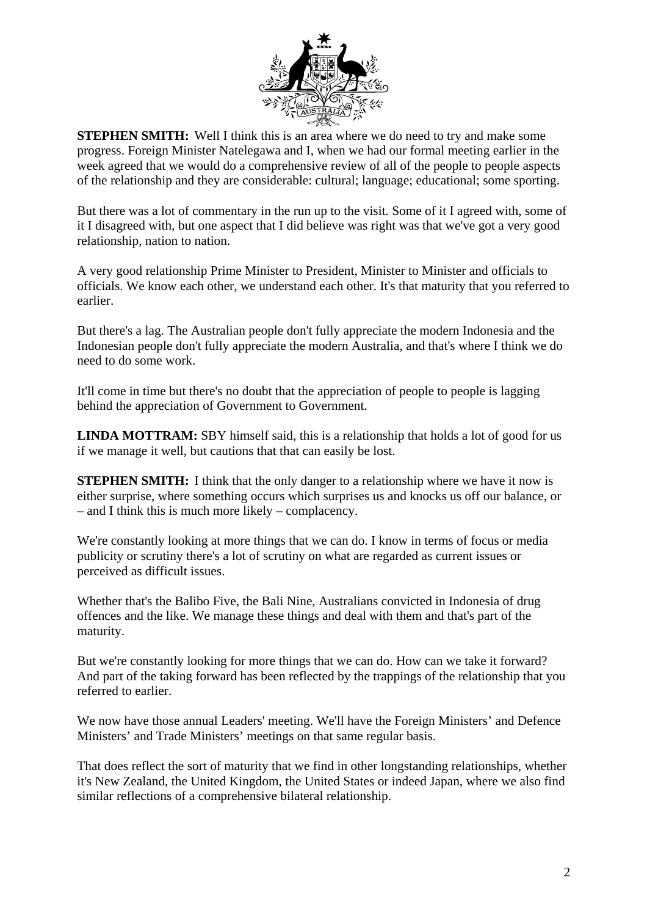

**STEPHEN SMITH:** Well I think this is an area where we do need to try and make some progress. Foreign Minister Natelegawa and I, when we had our formal meeting earlier in the week agreed that we would do a comprehensive review of all of the people to people aspects of the relationship and they are considerable: cultural; language; educational; some sporting.

But there was a lot of commentary in the run up to the visit. Some of it I agreed with, some of it I disagreed with, but one aspect that I did believe was right was that we've got a very good relationship, nation to nation.

A very good relationship Prime Minister to President, Minister to Minister and officials to officials. We know each other, we understand each other. It's that maturity that you referred to earlier.

But there's a lag. The Australian people don't fully appreciate the modern Indonesia and the Indonesian people don't fully appreciate the modern Australia, and that's where I think we do need to do some work.

It'll come in time but there's no doubt that the appreciation of people to people is lagging behind the appreciation of Government to Government.

**LINDA MOTTRAM:** SBY himself said, this is a relationship that holds a lot of good for us if we manage it well, but cautions that that can easily be lost.

**STEPHEN SMITH:** I think that the only danger to a relationship where we have it now is either surprise, where something occurs which surprises us and knocks us off our balance, or – and I think this is much more likely – complacency.

We're constantly looking at more things that we can do. I know in terms of focus or media publicity or scrutiny there's a lot of scrutiny on what are regarded as current issues or perceived as difficult issues.

Whether that's the Balibo Five, the Bali Nine, Australians convicted in Indonesia of drug offences and the like. We manage these things and deal with them and that's part of the maturity.

But we're constantly looking for more things that we can do. How can we take it forward? And part of the taking forward has been reflected by the trappings of the relationship that you referred to earlier.

We now have those annual Leaders' meeting. We'll have the Foreign Ministers' and Defence Ministers' and Trade Ministers' meetings on that same regular basis.

That does reflect the sort of maturity that we find in other longstanding relationships, whether it's New Zealand, the United Kingdom, the United States or indeed Japan, where we also find similar reflections of a comprehensive bilateral relationship.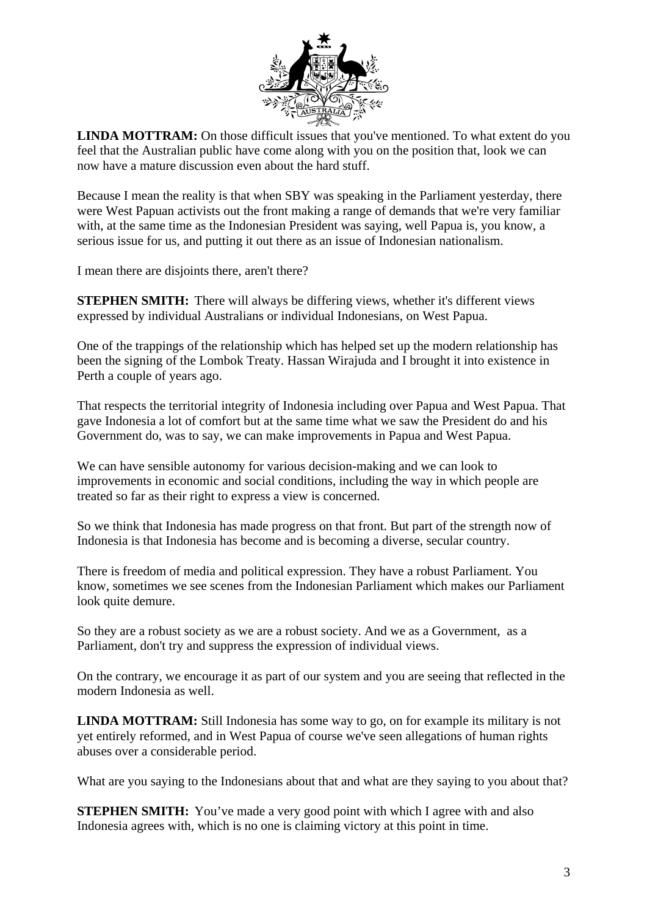

**LINDA MOTTRAM:** On those difficult issues that you've mentioned. To what extent do you feel that the Australian public have come along with you on the position that, look we can now have a mature discussion even about the hard stuff.

Because I mean the reality is that when SBY was speaking in the Parliament yesterday, there were West Papuan activists out the front making a range of demands that we're very familiar with, at the same time as the Indonesian President was saying, well Papua is, you know, a serious issue for us, and putting it out there as an issue of Indonesian nationalism.

I mean there are disjoints there, aren't there?

**STEPHEN SMITH:** There will always be differing views, whether it's different views expressed by individual Australians or individual Indonesians, on West Papua.

One of the trappings of the relationship which has helped set up the modern relationship has been the signing of the Lombok Treaty. Hassan Wirajuda and I brought it into existence in Perth a couple of years ago.

That respects the territorial integrity of Indonesia including over Papua and West Papua. That gave Indonesia a lot of comfort but at the same time what we saw the President do and his Government do, was to say, we can make improvements in Papua and West Papua.

We can have sensible autonomy for various decision-making and we can look to improvements in economic and social conditions, including the way in which people are treated so far as their right to express a view is concerned.

So we think that Indonesia has made progress on that front. But part of the strength now of Indonesia is that Indonesia has become and is becoming a diverse, secular country.

There is freedom of media and political expression. They have a robust Parliament. You know, sometimes we see scenes from the Indonesian Parliament which makes our Parliament look quite demure.

So they are a robust society as we are a robust society. And we as a Government, as a Parliament, don't try and suppress the expression of individual views.

On the contrary, we encourage it as part of our system and you are seeing that reflected in the modern Indonesia as well.

**LINDA MOTTRAM:** Still Indonesia has some way to go, on for example its military is not yet entirely reformed, and in West Papua of course we've seen allegations of human rights abuses over a considerable period.

What are you saying to the Indonesians about that and what are they saying to you about that?

**STEPHEN SMITH:** You've made a very good point with which I agree with and also Indonesia agrees with, which is no one is claiming victory at this point in time.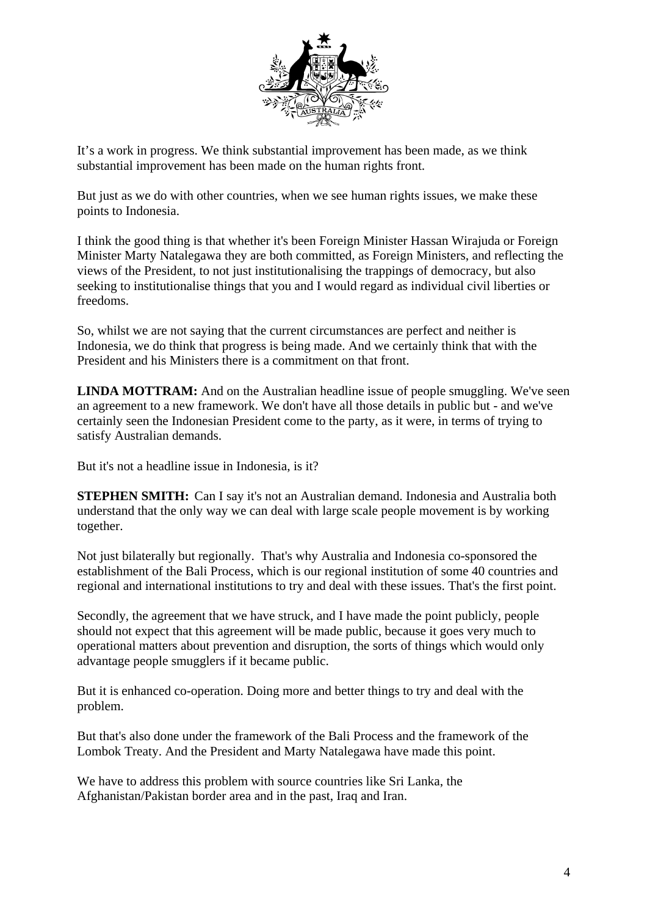

It's a work in progress. We think substantial improvement has been made, as we think substantial improvement has been made on the human rights front.

But just as we do with other countries, when we see human rights issues, we make these points to Indonesia.

I think the good thing is that whether it's been Foreign Minister Hassan Wirajuda or Foreign Minister Marty Natalegawa they are both committed, as Foreign Ministers, and reflecting the views of the President, to not just institutionalising the trappings of democracy, but also seeking to institutionalise things that you and I would regard as individual civil liberties or freedoms.

So, whilst we are not saying that the current circumstances are perfect and neither is Indonesia, we do think that progress is being made. And we certainly think that with the President and his Ministers there is a commitment on that front.

**LINDA MOTTRAM:** And on the Australian headline issue of people smuggling. We've seen an agreement to a new framework. We don't have all those details in public but - and we've certainly seen the Indonesian President come to the party, as it were, in terms of trying to satisfy Australian demands.

But it's not a headline issue in Indonesia, is it?

**STEPHEN SMITH:** Can I say it's not an Australian demand. Indonesia and Australia both understand that the only way we can deal with large scale people movement is by working together.

Not just bilaterally but regionally. That's why Australia and Indonesia co-sponsored the establishment of the Bali Process, which is our regional institution of some 40 countries and regional and international institutions to try and deal with these issues. That's the first point.

Secondly, the agreement that we have struck, and I have made the point publicly, people should not expect that this agreement will be made public, because it goes very much to operational matters about prevention and disruption, the sorts of things which would only advantage people smugglers if it became public.

But it is enhanced co-operation. Doing more and better things to try and deal with the problem.

But that's also done under the framework of the Bali Process and the framework of the Lombok Treaty. And the President and Marty Natalegawa have made this point.

We have to address this problem with source countries like Sri Lanka, the Afghanistan/Pakistan border area and in the past, Iraq and Iran.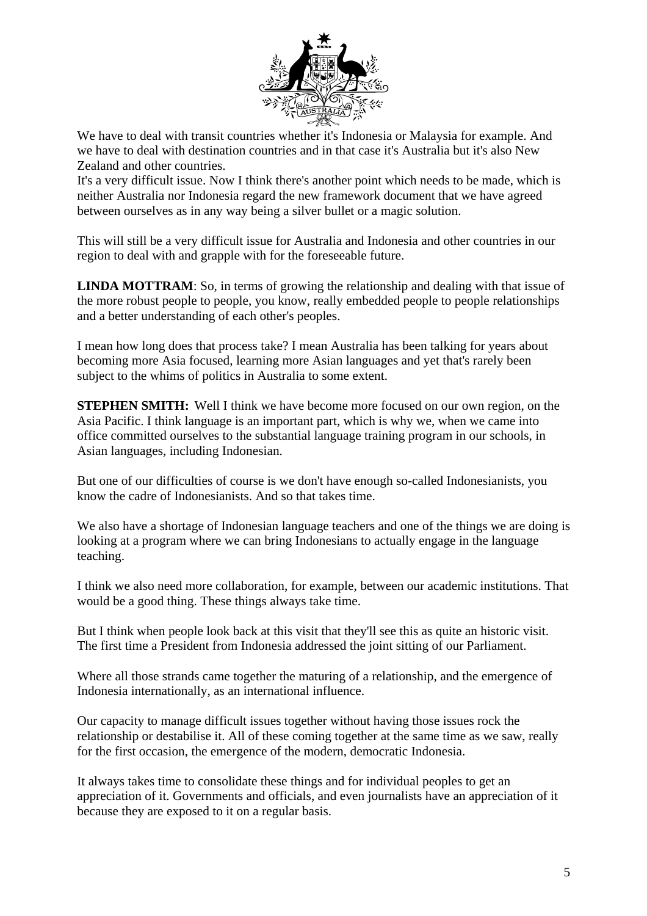

We have to deal with transit countries whether it's Indonesia or Malaysia for example. And we have to deal with destination countries and in that case it's Australia but it's also New Zealand and other countries.

It's a very difficult issue. Now I think there's another point which needs to be made, which is neither Australia nor Indonesia regard the new framework document that we have agreed between ourselves as in any way being a silver bullet or a magic solution.

This will still be a very difficult issue for Australia and Indonesia and other countries in our region to deal with and grapple with for the foreseeable future.

**LINDA MOTTRAM:** So, in terms of growing the relationship and dealing with that issue of the more robust people to people, you know, really embedded people to people relationships and a better understanding of each other's peoples.

I mean how long does that process take? I mean Australia has been talking for years about becoming more Asia focused, learning more Asian languages and yet that's rarely been subject to the whims of politics in Australia to some extent.

**STEPHEN SMITH:** Well I think we have become more focused on our own region, on the Asia Pacific. I think language is an important part, which is why we, when we came into office committed ourselves to the substantial language training program in our schools, in Asian languages, including Indonesian.

But one of our difficulties of course is we don't have enough so-called Indonesianists, you know the cadre of Indonesianists. And so that takes time.

We also have a shortage of Indonesian language teachers and one of the things we are doing is looking at a program where we can bring Indonesians to actually engage in the language teaching.

I think we also need more collaboration, for example, between our academic institutions. That would be a good thing. These things always take time.

But I think when people look back at this visit that they'll see this as quite an historic visit. The first time a President from Indonesia addressed the joint sitting of our Parliament.

Where all those strands came together the maturing of a relationship, and the emergence of Indonesia internationally, as an international influence.

Our capacity to manage difficult issues together without having those issues rock the relationship or destabilise it. All of these coming together at the same time as we saw, really for the first occasion, the emergence of the modern, democratic Indonesia.

It always takes time to consolidate these things and for individual peoples to get an appreciation of it. Governments and officials, and even journalists have an appreciation of it because they are exposed to it on a regular basis.